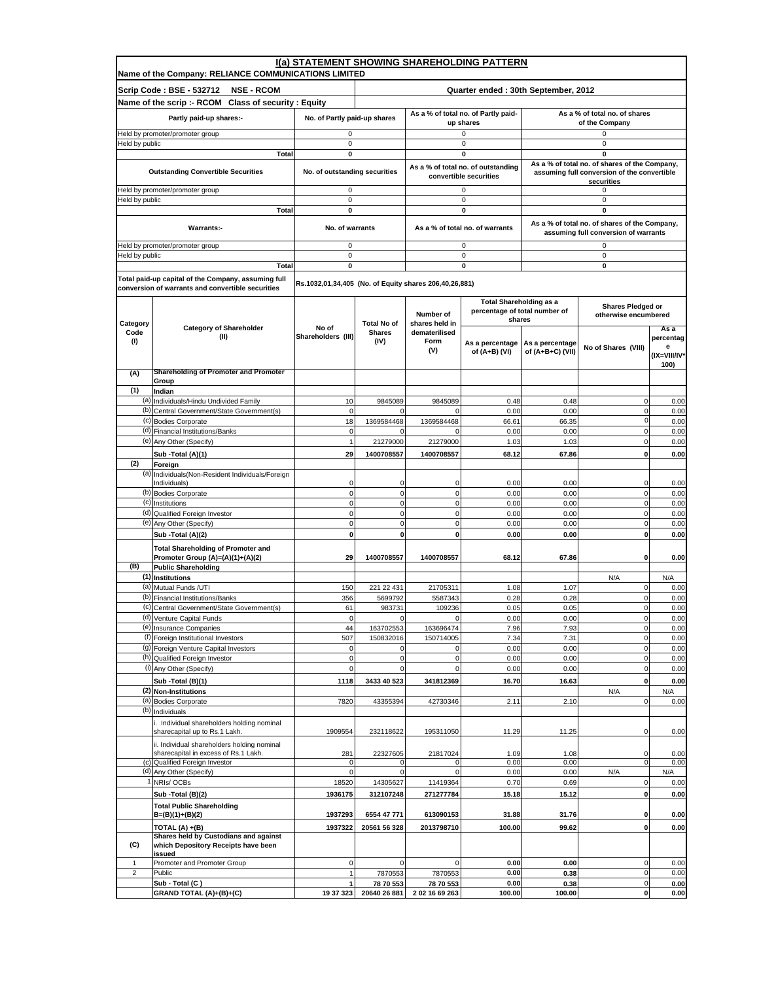|                  | I(a) STATEMENT SHOWING SHAREHOLDING PATTERN                                         |                                                        |                                     |                                 |                                                                           |                                                                                                            |                                                                                       |                      |
|------------------|-------------------------------------------------------------------------------------|--------------------------------------------------------|-------------------------------------|---------------------------------|---------------------------------------------------------------------------|------------------------------------------------------------------------------------------------------------|---------------------------------------------------------------------------------------|----------------------|
|                  | Name of the Company: RELIANCE COMMUNICATIONS LIMITED                                |                                                        |                                     |                                 |                                                                           |                                                                                                            |                                                                                       |                      |
|                  | Scrip Code: BSE - 532712<br><b>NSE - RCOM</b>                                       |                                                        |                                     |                                 | Quarter ended: 30th September, 2012                                       |                                                                                                            |                                                                                       |                      |
|                  | Name of the scrip :- RCOM Class of security : Equity                                |                                                        |                                     |                                 | As a % of total no. of Partly paid-                                       |                                                                                                            | As a % of total no. of shares                                                         |                      |
|                  | Partly paid-up shares:-                                                             | No. of Partly paid-up shares                           |                                     |                                 | up shares                                                                 | of the Company                                                                                             |                                                                                       |                      |
| Held by public   | Held by promoter/promoter group                                                     | 0<br>0                                                 |                                     |                                 | 0<br>0                                                                    |                                                                                                            | 0<br>0                                                                                |                      |
|                  | Total                                                                               | 0                                                      |                                     |                                 | 0                                                                         |                                                                                                            | 0                                                                                     |                      |
|                  | <b>Outstanding Convertible Securities</b>                                           | No. of outstanding securities                          |                                     |                                 | As a % of total no. of outstanding<br>convertible securities              | As a % of total no. of shares of the Company,<br>assuming full conversion of the convertible<br>securities |                                                                                       |                      |
|                  | leld by promoter/promoter group                                                     | 0                                                      |                                     |                                 | $\mathbf 0$                                                               |                                                                                                            | 0                                                                                     |                      |
| Held by public   | Total                                                                               | $\mathbf 0$<br>0                                       |                                     |                                 | 0<br>0                                                                    |                                                                                                            | 0<br>0                                                                                |                      |
|                  | Warrants:-                                                                          | No. of warrants                                        |                                     |                                 | As a % of total no. of warrants                                           |                                                                                                            | As a % of total no. of shares of the Company,<br>assuming full conversion of warrants |                      |
|                  | Held by promoter/promoter group                                                     | 0                                                      |                                     |                                 | $\mathbf 0$                                                               |                                                                                                            | 0                                                                                     |                      |
| Held by public   | <b>Total</b>                                                                        | 0<br>0                                                 |                                     |                                 | 0<br>0                                                                    |                                                                                                            | $\mathsf 0$<br>0                                                                      |                      |
|                  | Total paid-up capital of the Company, assuming full                                 |                                                        |                                     |                                 |                                                                           |                                                                                                            |                                                                                       |                      |
|                  | conversion of warrants and convertible securities                                   | Rs.1032,01,34,405 (No. of Equity shares 206,40,26,881) |                                     |                                 |                                                                           |                                                                                                            |                                                                                       |                      |
|                  |                                                                                     |                                                        |                                     | Number of                       | <b>Total Shareholding as a</b><br>percentage of total number of<br>shares |                                                                                                            | Shares Pledged or<br>otherwise encumbered                                             |                      |
| Category<br>Code | <b>Category of Shareholder</b>                                                      | No of                                                  | <b>Total No of</b><br><b>Shares</b> | shares held in<br>dematerilised |                                                                           |                                                                                                            |                                                                                       | As a                 |
| (1)              | (II)                                                                                | Shareholders (III)                                     | (IV)                                | Form<br>(V)                     | As a percentage<br>of (A+B) (VI)                                          | As a percentage<br>of (A+B+C) (VII)                                                                        | No of Shares (VIII)                                                                   | percentag<br>е       |
|                  |                                                                                     |                                                        |                                     |                                 |                                                                           |                                                                                                            |                                                                                       | (IX=VIII/IV*<br>100) |
| (A)              | Shareholding of Promoter and Promoter                                               |                                                        |                                     |                                 |                                                                           |                                                                                                            |                                                                                       |                      |
| (1)              | Group<br>Indian                                                                     |                                                        |                                     |                                 |                                                                           |                                                                                                            |                                                                                       |                      |
|                  | (a) Individuals/Hindu Undivided Family                                              | 10                                                     | 9845089                             | 9845089                         | 0.48                                                                      | 0.48                                                                                                       | $\mathbf 0$                                                                           | 0.00                 |
|                  | (b) Central Government/State Government(s)                                          | $\mathbf 0$                                            | 0                                   | $\mathbf 0$                     | 0.00                                                                      | 0.00                                                                                                       | $\pmb{0}$<br>$\mathbf{0}$                                                             | 0.00                 |
|                  | (c) Bodies Corporate<br>(d) Financial Institutions/Banks                            | 18<br>$\mathbf 0$                                      | 1369584468<br>$\Omega$              | 1369584468<br>$\Omega$          | 66.61<br>0.00                                                             | 66.35<br>0.00                                                                                              | $\mathbf 0$                                                                           | 0.00<br>0.00         |
|                  | (e) Any Other (Specify)                                                             | $\mathbf{1}$                                           | 21279000                            | 21279000                        | 1.03                                                                      | 1.03                                                                                                       | 0                                                                                     | 0.00                 |
|                  | Sub -Total (A)(1)                                                                   | 29                                                     | 1400708557                          | 1400708557                      | 68.12                                                                     | 67.86                                                                                                      | 0                                                                                     | 0.00                 |
| (2)              | Foreign                                                                             |                                                        |                                     |                                 |                                                                           |                                                                                                            |                                                                                       |                      |
| (a)              | Individuals(Non-Resident Individuals/Foreign<br>Individuals)                        | 0                                                      | $\mathbf 0$                         | $\mathbf 0$                     | 0.00                                                                      | 0.00                                                                                                       | 0                                                                                     | 0.00                 |
| (b)              | <b>Bodies Corporate</b>                                                             | $\mathbf 0$                                            | $\mathsf 0$                         | $\mathbf 0$                     | 0.00                                                                      | 0.00                                                                                                       | 0                                                                                     | 0.00                 |
|                  | (c) Institutions                                                                    | $\mathbf 0$                                            | $\mathbf 0$                         | $\mathbf 0$                     | 0.00                                                                      | 0.00                                                                                                       | 0                                                                                     | 0.00                 |
|                  | (d) Qualified Foreign Investor                                                      | $\mathbf 0$                                            | $\mathbf 0$                         | $\pmb{0}$                       | 0.00                                                                      | 0.00                                                                                                       | $\mathbf 0$                                                                           | 0.00                 |
|                  | (e) Any Other (Specify)<br>Sub -Total (A)(2)                                        | $\mathbf 0$<br>$\mathbf 0$                             | $\mathbf 0$<br>$\mathbf 0$          | $\mathbf 0$<br>0                | 0.00<br>0.00                                                              | 0.00<br>0.00                                                                                               | 0<br>0                                                                                | 0.00<br>0.00         |
|                  | <b>Total Shareholding of Promoter and</b>                                           |                                                        |                                     |                                 |                                                                           |                                                                                                            |                                                                                       |                      |
|                  | Promoter Group (A)=(A)(1)+(A)(2)                                                    | 29                                                     | 1400708557                          | 1400708557                      | 68.12                                                                     | 67.86                                                                                                      | 0                                                                                     | 0.00                 |
| (B)              | <b>Public Shareholding</b>                                                          |                                                        |                                     |                                 |                                                                           |                                                                                                            |                                                                                       |                      |
|                  | (1) Institutions<br>(a) Mutual Funds / UTI                                          | 150                                                    | 221 22 431                          | 21705311                        | 1.08                                                                      | 1.07                                                                                                       | N/A<br>$\mathsf 0$                                                                    | N/A<br>0.00          |
| (b)              | Financial Institutions/Banks                                                        | 356                                                    | 5699792                             | 5587343                         | 0.28                                                                      | 0.28                                                                                                       | $\mathbf 0$                                                                           | 0.00                 |
| (c)              | Central Government/State Government(s)                                              | 61                                                     | 983731                              | 109236                          | 0.05                                                                      | 0.05                                                                                                       | $\Omega$                                                                              | 0.00                 |
|                  | (d) Venture Capital Funds                                                           | $\mathbf 0$                                            | $\mathsf{O}\xspace$                 | $\mathbf 0$                     | 0.00                                                                      | 0.00                                                                                                       | $\mathsf{O}\xspace$                                                                   | 0.00                 |
|                  | (e) Insurance Companies<br>(f) Foreign Institutional Investors                      | 44<br>507                                              | 163702553<br>150832016              | 163696474<br>150714005          | 7.96<br>7.34                                                              | 7.93<br>7.31                                                                                               | $\mathbf 0$<br>$\mathbf 0$                                                            | 0.00<br>0.00         |
|                  | (9) Foreign Venture Capital Investors                                               | $\mathbf 0$                                            | $\mathbf 0$                         | $\mathbf 0$                     | 0.00                                                                      | 0.00                                                                                                       | $\mathbf 0$                                                                           | 0.00                 |
|                  | (h) Qualified Foreign Investor                                                      | $\pmb{0}$                                              | $\mathsf 0$                         | $\mathbf 0$                     | 0.00                                                                      | 0.00                                                                                                       | $\pmb{0}$                                                                             | 0.00                 |
|                  | (i) Any Other (Specify)                                                             | $\mathbf 0$                                            | $\mathsf 0$                         | 0                               | 0.00                                                                      | 0.00                                                                                                       | $\mathbf 0$                                                                           | 0.00                 |
|                  | Sub -Total (B)(1)<br>(2) Non-Institutions                                           | 1118                                                   | 3433 40 523                         | 341812369                       | 16.70                                                                     | 16.63                                                                                                      | $\mathbf 0$<br>N/A                                                                    | 0.00<br>N/A          |
|                  | (a) Bodies Corporate                                                                | 7820                                                   | 43355394                            | 42730346                        | 2.11                                                                      | 2.10                                                                                                       | 0                                                                                     | 0.00                 |
|                  | (b) Individuals                                                                     |                                                        |                                     |                                 |                                                                           |                                                                                                            |                                                                                       |                      |
|                  | . Individual shareholders holding nominal<br>sharecapital up to Rs.1 Lakh.          | 1909554                                                | 232118622                           | 195311050                       | 11.29                                                                     | 11.25                                                                                                      | 0                                                                                     | 0.00                 |
|                  | ii. Individual shareholders holding nominal<br>sharecapital in excess of Rs.1 Lakh. | 281                                                    | 22327605                            | 21817024                        | 1.09                                                                      | 1.08                                                                                                       | 0                                                                                     | 0.00                 |
|                  | (c) Qualified Foreign Investor                                                      | 0                                                      | 0                                   | $^{\circ}$                      | 0.00                                                                      | 0.00                                                                                                       | $\mathbf 0$                                                                           | 0.00                 |
|                  | (d) Any Other (Specify)<br>NRIs/OCBs                                                | $\mathbf 0$<br>18520                                   | $\mathsf 0$<br>14305627             | $\pmb{0}$<br>11419364           | 0.00<br>0.70                                                              | 0.00<br>0.69                                                                                               | N/A<br>0                                                                              | N/A<br>0.00          |
|                  | Sub - Total (B)(2)                                                                  | 1936175                                                | 312107248                           | 271277784                       | 15.18                                                                     | 15.12                                                                                                      | $\mathbf{0}$                                                                          | 0.00                 |
|                  | <b>Total Public Shareholding</b>                                                    |                                                        |                                     |                                 |                                                                           |                                                                                                            |                                                                                       |                      |
|                  | $B=(B)(1)+(B)(2)$                                                                   | 1937293                                                | 6554 47 771                         | 613090153                       | 31.88                                                                     | 31.76                                                                                                      | $\mathbf 0$                                                                           | 0.00                 |
|                  | TOTAL (A) +(B)<br>Shares held by Custodians and against                             | 1937322                                                | 20561 56 328                        | 2013798710                      | 100.00                                                                    | 99.62                                                                                                      | $\mathbf 0$                                                                           | 0.00                 |
| (C)              | which Depository Receipts have been<br>issued                                       |                                                        |                                     |                                 |                                                                           |                                                                                                            |                                                                                       |                      |
| $\mathbf{1}$     | Promoter and Promoter Group                                                         | $\pmb{0}$                                              | $\mathbf 0$                         | $\Omega$                        | 0.00                                                                      | 0.00                                                                                                       | $\mathsf 0$                                                                           | 0.00                 |
| $\overline{2}$   | Public<br>Sub - Total (C)                                                           | $\overline{1}$<br>1                                    | 7870553<br>78 70 553                | 7870553<br>78 70 553            | 0.00<br>0.00                                                              | 0.38<br>0.38                                                                                               | $\mathbf 0$<br>$\mathsf 0$                                                            | 0.00<br>0.00         |
|                  | GRAND TOTAL (A)+(B)+(C)                                                             | 19 37 323                                              | 20640 26 881                        | 2 02 16 69 263                  | 100.00                                                                    | 100.00                                                                                                     | $\mathbf{0}$                                                                          | 0.00                 |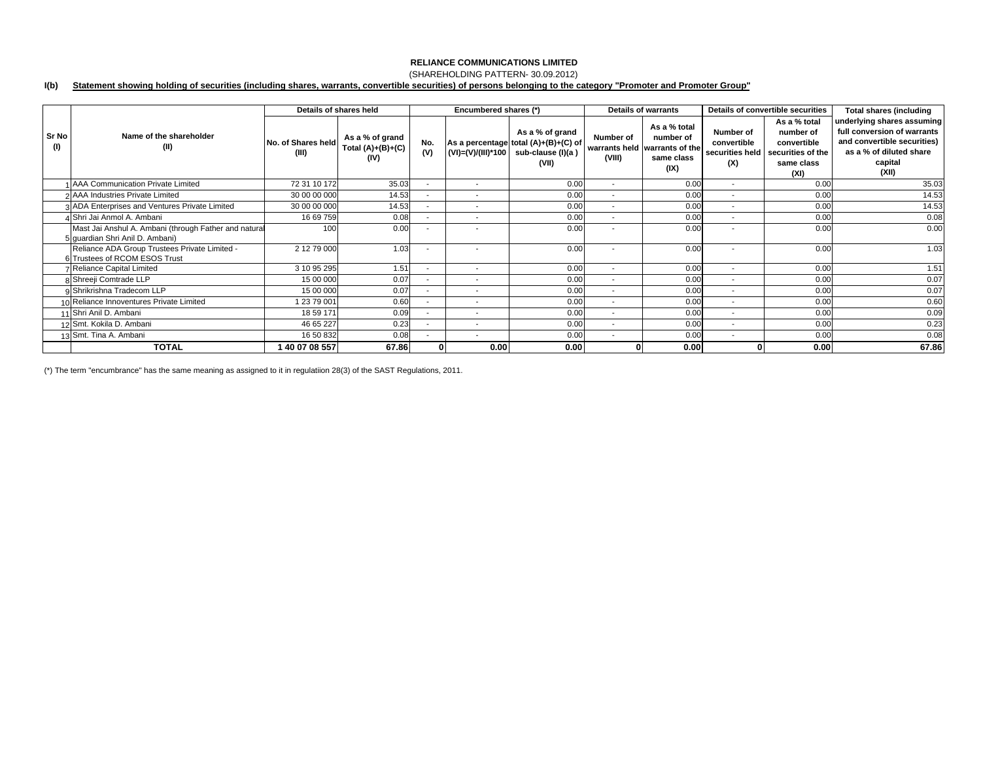## (SHAREHOLDING PATTERN- 30.09.2012)

#### **I(b) Statement showing holding of securities (including shares, warrants, convertible securities) of persons belonging to the category "Promoter and Promoter Group"**

|              |                                                                                          |                             | Details of shares held                         |                          | Encumbered shares (*)    |                                                                                                          | <b>Details of warrants</b> |                                                                                  | Details of convertible securities                  |                                                                                     | <b>Total shares (including</b>                                                                                                          |
|--------------|------------------------------------------------------------------------------------------|-----------------------------|------------------------------------------------|--------------------------|--------------------------|----------------------------------------------------------------------------------------------------------|----------------------------|----------------------------------------------------------------------------------|----------------------------------------------------|-------------------------------------------------------------------------------------|-----------------------------------------------------------------------------------------------------------------------------------------|
| Sr No<br>(1) | Name of the shareholder<br>(II)                                                          | No. of Shares held<br>(III) | As a % of grand<br>Total $(A)+(B)+(C)$<br>(IV) | No.<br>(V)               |                          | As a % of grand<br>As a percentage total (A)+(B)+(C) of<br>(VI)=(V)/(III)*100 sub-clause (I)(a)<br>(VII) | Number of<br>(VIII)        | As a % total<br>number of<br>warrants held warrants of the<br>same class<br>(IX) | Number of<br>convertible<br>securities held<br>(X) | As a % total<br>number of<br>convertible<br>securities of the<br>same class<br>(XI) | underlying shares assuming<br>full conversion of warrants<br>and convertible securities)<br>as a % of diluted share<br>capital<br>(XII) |
|              | 1 AAA Communication Private Limited                                                      | 72 31 10 172                | 35.03                                          | $\overline{\phantom{a}}$ | $\sim$                   | 0.00                                                                                                     | $\sim$                     | 0.00                                                                             | $\overline{\phantom{a}}$                           | 0.00                                                                                | 35.03                                                                                                                                   |
|              | 2 AAA Industries Private Limited                                                         | 30 00 00 000                | 14.53                                          | $\overline{\phantom{a}}$ | $\overline{\phantom{a}}$ | 0.00                                                                                                     | $\sim$                     | 0.00                                                                             | $\overline{\phantom{a}}$                           | 0.00                                                                                | 14.53                                                                                                                                   |
|              | 3 ADA Enterprises and Ventures Private Limited                                           | 30 00 00 000                | 14.53                                          | $\sim$                   | $\overline{\phantom{a}}$ | 0.00                                                                                                     | $\sim$                     | 0.00                                                                             | $\overline{\phantom{a}}$                           | 0.00                                                                                | 14.53                                                                                                                                   |
|              | 4 Shri Jai Anmol A. Ambani                                                               | 16 69 759                   | 0.08                                           | $\sim$                   | $\overline{\phantom{a}}$ | 0.00                                                                                                     | $\sim$                     | 0.00                                                                             | $\overline{\phantom{a}}$                           | 0.00                                                                                | 0.08                                                                                                                                    |
|              | Mast Jai Anshul A. Ambani (through Father and natural<br>5 quardian Shri Anil D. Ambani) | 100                         | 0.00                                           | $\sim$                   |                          | 0.00                                                                                                     | $\overline{\phantom{a}}$   | 0.00                                                                             | ۰                                                  | 0.00                                                                                | 0.00                                                                                                                                    |
|              | Reliance ADA Group Trustees Private Limited -<br>6 Trustees of RCOM ESOS Trust           | 2 12 79 000                 | 1.03                                           | $\overline{\phantom{a}}$ | $\overline{\phantom{a}}$ | 0.00                                                                                                     | $\overline{\phantom{a}}$   | 0.00                                                                             | $\overline{\phantom{a}}$                           | 0.00                                                                                | 1.03                                                                                                                                    |
|              | <b>7 Reliance Capital Limited</b>                                                        | 3 10 95 295                 | 1.51                                           | $\sim$                   | $\mathbf{r}$             | 0.00                                                                                                     | $\sim$                     | 0.00                                                                             | $\overline{\phantom{a}}$                           | 0.00                                                                                | 1.51                                                                                                                                    |
|              | 8 Shreeji Comtrade LLP                                                                   | 15 00 000                   | 0.07                                           | $\sim$                   | $\overline{\phantom{a}}$ | 0.00                                                                                                     | $\sim$                     | 0.00                                                                             | $\overline{\phantom{a}}$                           | 0.00                                                                                | 0.07                                                                                                                                    |
|              | 9 Shrikrishna Tradecom LLP                                                               | 15 00 000                   | 0.07                                           | $\sim$                   | $\overline{\phantom{a}}$ | 0.00                                                                                                     | $\sim$                     | 0.00                                                                             | $\overline{\phantom{a}}$                           | 0.00                                                                                | 0.07                                                                                                                                    |
|              | 10 Reliance Innoventures Private Limited                                                 | 1 23 79 001                 | 0.60                                           | $\overline{\phantom{a}}$ | $\overline{\phantom{a}}$ | 0.00                                                                                                     | $\overline{\phantom{a}}$   | 0.00                                                                             | $\overline{\phantom{a}}$                           | 0.00                                                                                | 0.60                                                                                                                                    |
|              | 11 Shri Anil D. Ambani                                                                   | 18 59 171                   | 0.09                                           | $\sim$                   | $\overline{\phantom{a}}$ | 0.00                                                                                                     | $\sim$                     | 0.00                                                                             | $\overline{\phantom{a}}$                           | 0.00                                                                                | 0.09                                                                                                                                    |
|              | 12 Smt. Kokila D. Ambani                                                                 | 46 65 227                   | 0.23                                           | $\sim$                   | $\overline{\phantom{a}}$ | 0.00                                                                                                     | $\overline{\phantom{a}}$   | 0.00                                                                             | $\overline{\phantom{a}}$                           | 0.00                                                                                | 0.23                                                                                                                                    |
|              | 13 Smt. Tina A. Ambani                                                                   | 16 50 832                   | 0.08                                           | $\sim$                   | $\overline{\phantom{a}}$ | 0.00                                                                                                     | $\sim$                     | 0.00                                                                             | $\overline{\phantom{a}}$                           | 0.00                                                                                | 0.08                                                                                                                                    |
|              | <b>TOTAL</b>                                                                             | 40 07 08 557                | 67.86                                          |                          | 0.00                     | 0.00                                                                                                     |                            | 0.00                                                                             |                                                    | 0.00                                                                                | 67.86                                                                                                                                   |

(\*) The term "encumbrance" has the same meaning as assigned to it in regulatiion 28(3) of the SAST Regulations, 2011.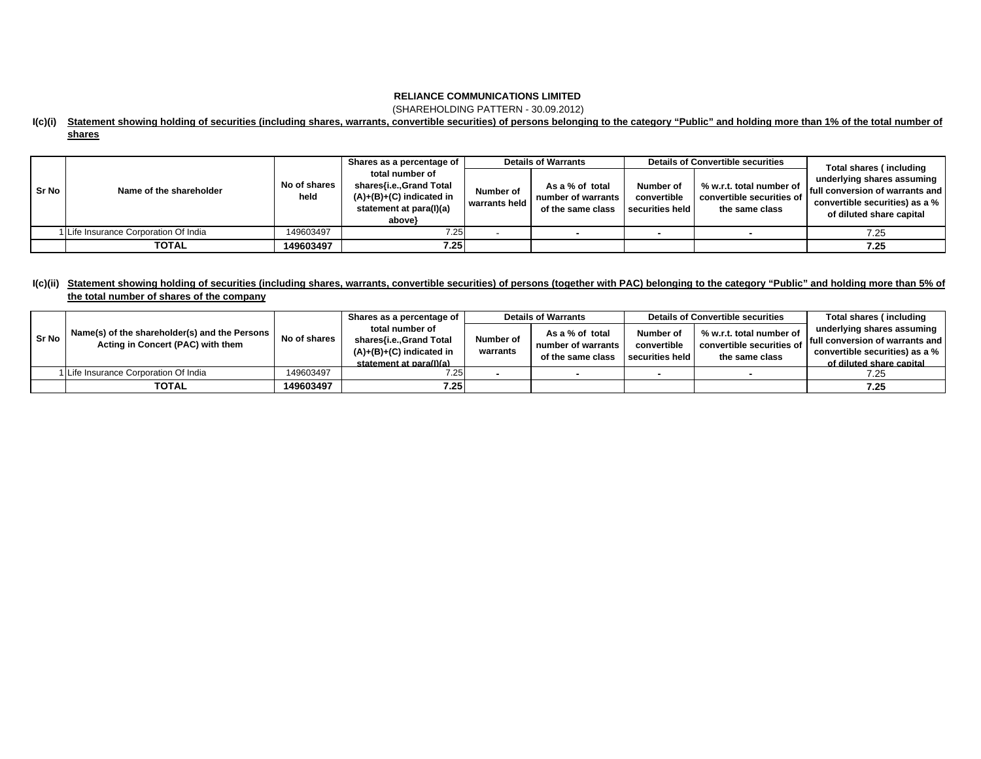(SHAREHOLDING PATTERN - 30.09.2012)

### **I(c)(i) Statement showing holding of securities (including shares, warrants, convertible securities) of persons belonging to the category "Public" and holding more than 1% of the total number of shares**

|         |                                     |                      | Shares as a percentage of                                                                                     |                            | <b>Details of Warrants</b>                                 |                                             | <b>Details of Convertible securities</b>                                | Total shares (including                                                                                                                |  |
|---------|-------------------------------------|----------------------|---------------------------------------------------------------------------------------------------------------|----------------------------|------------------------------------------------------------|---------------------------------------------|-------------------------------------------------------------------------|----------------------------------------------------------------------------------------------------------------------------------------|--|
| l Sr No | Name of the shareholder             | No of shares<br>held | total number of<br>shares{i.e.,Grand Total<br>$(A)+(B)+(C)$ indicated in<br>statement at para(I)(a)<br>above} | Number of<br>warrants held | As a % of total<br>number of warrants<br>of the same class | Number of<br>convertible<br>securities held | % w.r.t. total number of<br>convertible securities of<br>the same class | underlying shares assuming<br><b>If ull conversion of warrants and I</b><br>convertible securities) as a %<br>of diluted share capital |  |
|         | Life Insurance Corporation Of India | 149603497            | 7.25                                                                                                          |                            |                                                            |                                             |                                                                         | 7.25                                                                                                                                   |  |
|         | <b>TOTAL</b>                        | 149603497            | 7.25                                                                                                          |                            |                                                            |                                             |                                                                         | 7.25                                                                                                                                   |  |

## **I(c)(ii) Statement showing holding of securities (including shares, warrants, convertible securities) of persons (together with PAC) belonging to the category "Public" and holding more than 5% of the total number of shares of the company**

| Sr No | Name(s) of the shareholder(s) and the Persons<br>Acting in Concert (PAC) with them | No of shares | Shares as a percentage of                                                                            | <b>Details of Warrants</b> |                                       | <b>Details of Convertible securities</b>    |                                                                         | Total shares (including         |
|-------|------------------------------------------------------------------------------------|--------------|------------------------------------------------------------------------------------------------------|----------------------------|---------------------------------------|---------------------------------------------|-------------------------------------------------------------------------|---------------------------------|
|       |                                                                                    |              | total number of<br>shares{i.e., Grand Total<br>$(A)+(B)+(C)$ indicated in<br>statement at para(I)(a) | Number of<br>warrants      | As a % of total<br>number of warrants | Number of<br>convertible<br>securities held | % w.r.t. total number of<br>convertible securities of<br>the same class | underlying shares assuming      |
|       |                                                                                    |              |                                                                                                      |                            |                                       |                                             |                                                                         | full conversion of warrants and |
|       |                                                                                    |              |                                                                                                      |                            | of the same class                     |                                             |                                                                         | convertible securities) as a %  |
|       |                                                                                    |              |                                                                                                      |                            |                                       |                                             |                                                                         | of diluted share capital        |
|       | 1 Life Insurance Corporation Of India                                              | 149603497    | 7.25                                                                                                 |                            |                                       |                                             |                                                                         | 7.25                            |
|       | <b>TOTAL</b>                                                                       | 149603497    | 7.25                                                                                                 |                            |                                       |                                             |                                                                         | 7.25                            |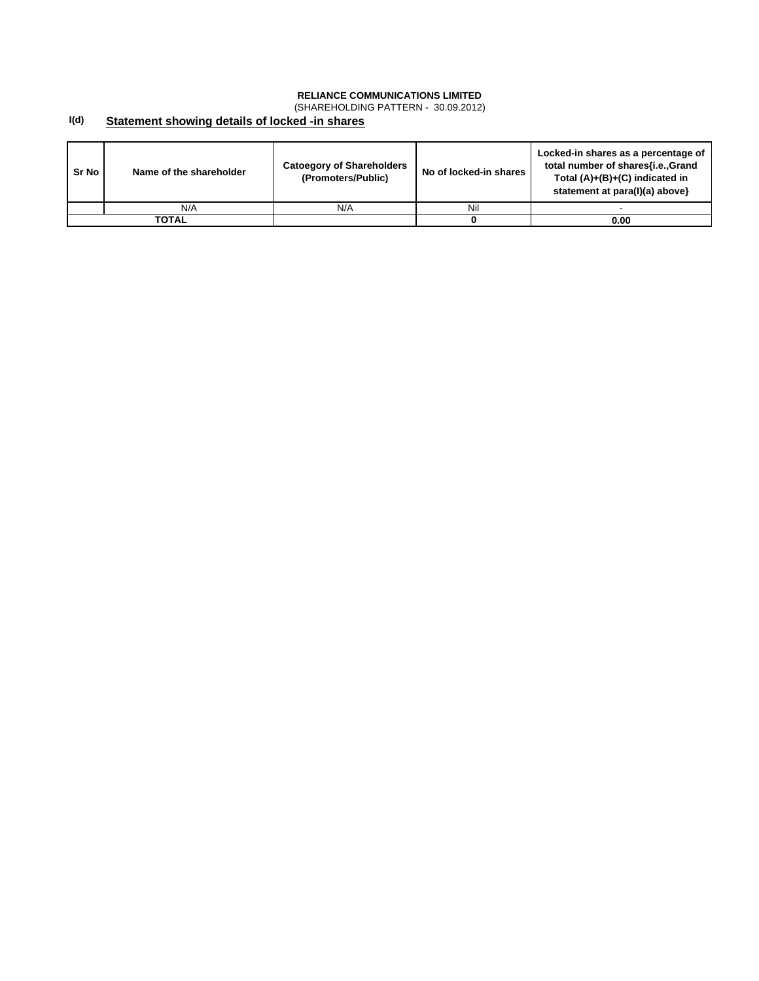(SHAREHOLDING PATTERN - 30.09.2012)

#### **I(d) Statement showing details of locked -in shares**

| Sr No | Name of the shareholder | <b>Catoegory of Shareholders</b><br>(Promoters/Public) | No of locked-in shares | Locked-in shares as a percentage of<br>total number of shares{i.e., Grand<br>Total $(A)+(B)+(C)$ indicated in<br>statement at para(I)(a) above} |
|-------|-------------------------|--------------------------------------------------------|------------------------|-------------------------------------------------------------------------------------------------------------------------------------------------|
|       | N/A                     | N/A                                                    | Nil                    |                                                                                                                                                 |
|       | TOTAL                   |                                                        |                        | 0.00                                                                                                                                            |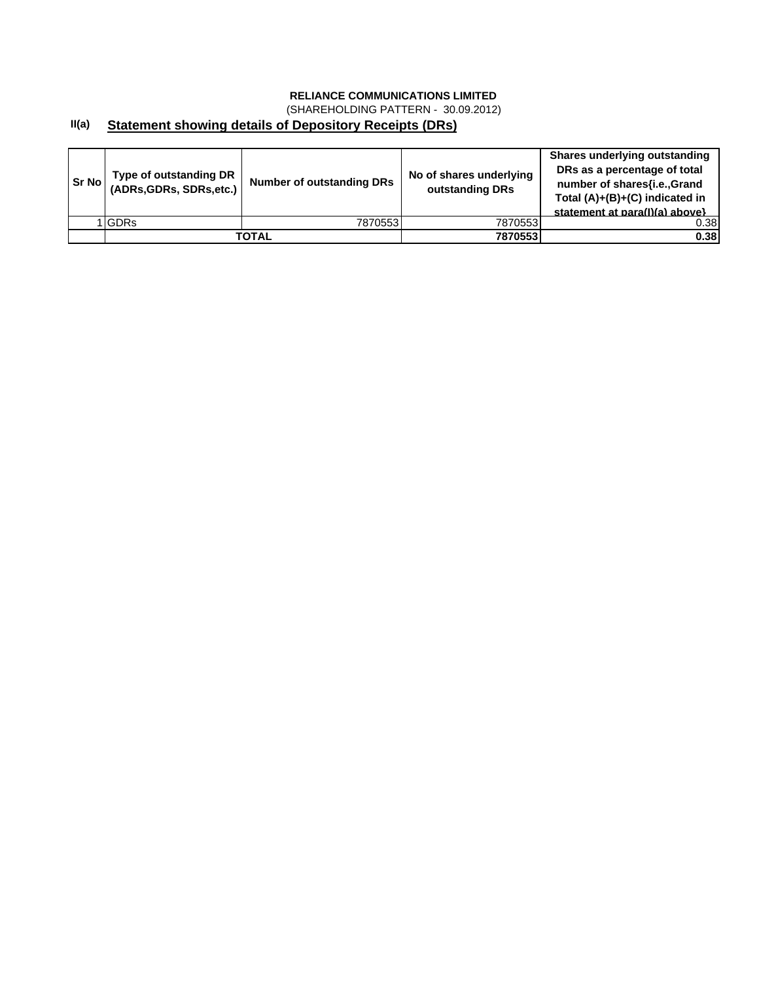(SHAREHOLDING PATTERN - 30.09.2012)

#### **II(a) Statement showing details of Depository Receipts (DRs)**

| <b>Sr No I</b> | Type of outstanding DR<br>(ADRs, GDRs, SDRs, etc.) | <b>Number of outstanding DRs</b> | No of shares underlying<br>outstanding DRs | Shares underlying outstanding<br>DRs as a percentage of total<br>number of shares{i.e., Grand<br>Total (A)+(B)+(C) indicated in<br>statement at para(I)(a) above} |
|----------------|----------------------------------------------------|----------------------------------|--------------------------------------------|-------------------------------------------------------------------------------------------------------------------------------------------------------------------|
|                | <b>IGDRs</b>                                       | 7870553                          | 7870553                                    | 0.38                                                                                                                                                              |
|                |                                                    | ΤΟΤΑL                            | 7870553                                    | 0.38                                                                                                                                                              |